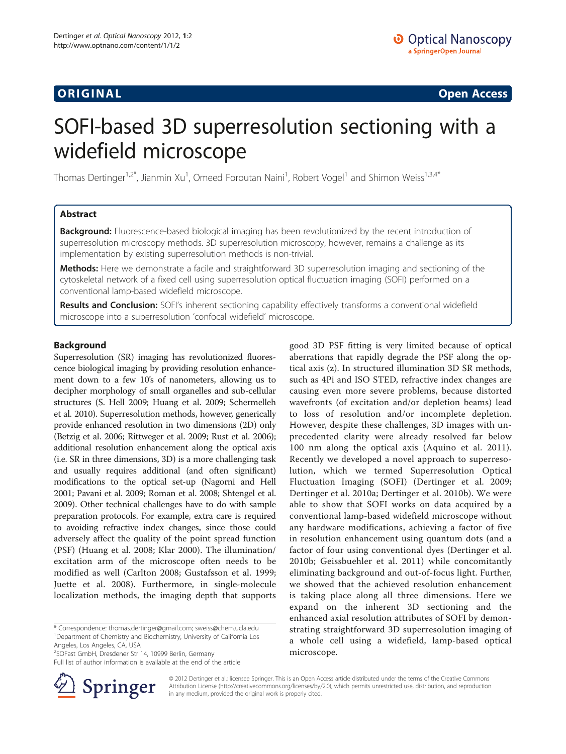ORIGINA L Open Access

# SOFI-based 3D superresolution sectioning with a widefield microscope

Thomas Dertinger<sup>1,2\*</sup>, Jianmin Xu<sup>1</sup>, Omeed Foroutan Naini<sup>1</sup>, Robert Vogel<sup>1</sup> and Shimon Weiss<sup>1,3,4\*</sup>

# Abstract

**Background:** Fluorescence-based biological imaging has been revolutionized by the recent introduction of superresolution microscopy methods. 3D superresolution microscopy, however, remains a challenge as its implementation by existing superresolution methods is non-trivial.

Methods: Here we demonstrate a facile and straightforward 3D superresolution imaging and sectioning of the cytoskeletal network of a fixed cell using superresolution optical fluctuation imaging (SOFI) performed on a conventional lamp-based widefield microscope.

Results and Conclusion: SOFI's inherent sectioning capability effectively transforms a conventional widefield microscope into a superresolution 'confocal widefield' microscope.

# Background

Superresolution (SR) imaging has revolutionized fluorescence biological imaging by providing resolution enhancement down to a few 10's of nanometers, allowing us to decipher morphology of small organelles and sub-cellular structures (S. Hell [2009](#page-3-0); Huang et al. [2009](#page-3-0); Schermelleh et al. [2010\)](#page-4-0). Superresolution methods, however, generically provide enhanced resolution in two dimensions (2D) only (Betzig et al. [2006](#page-3-0); Rittweger et al. [2009](#page-4-0); Rust et al. [2006](#page-4-0)); additional resolution enhancement along the optical axis (i.e. SR in three dimensions, 3D) is a more challenging task and usually requires additional (and often significant) modifications to the optical set-up (Nagorni and Hell [2001;](#page-3-0) Pavani et al. [2009](#page-4-0); Roman et al. [2008](#page-4-0); Shtengel et al. [2009\)](#page-4-0). Other technical challenges have to do with sample preparation protocols. For example, extra care is required to avoiding refractive index changes, since those could adversely affect the quality of the point spread function (PSF) (Huang et al. [2008](#page-3-0); Klar [2000\)](#page-3-0). The illumination/ excitation arm of the microscope often needs to be modified as well (Carlton [2008](#page-3-0); Gustafsson et al. [1999](#page-3-0); Juette et al. [2008](#page-3-0)). Furthermore, in single-molecule localization methods, the imaging depth that supports

\* Correspondence: [thomas.dertinger@gmail.com;](mailto:thomas.dertinger@gmail.com) [sweiss@chem.ucla.edu](mailto:sweiss@chem.ucla.edu) <sup>1</sup> Department of Chemistry and Biochemistry, University of California Los Angeles, Los Angeles, CA, USA

2 SOFast GmbH, Dresdener Str 14, 10999 Berlin, Germany

Full list of author information is available at the end of the article



good 3D PSF fitting is very limited because of optical aberrations that rapidly degrade the PSF along the optical axis (z). In structured illumination 3D SR methods, such as 4Pi and ISO STED, refractive index changes are causing even more severe problems, because distorted wavefronts (of excitation and/or depletion beams) lead to loss of resolution and/or incomplete depletion. However, despite these challenges, 3D images with unprecedented clarity were already resolved far below 100 nm along the optical axis (Aquino et al. [2011](#page-3-0)). Recently we developed a novel approach to superresolution, which we termed Superresolution Optical Fluctuation Imaging (SOFI) (Dertinger et al. [2009](#page-3-0); Dertinger et al. [2010a;](#page-3-0) Dertinger et al. [2010b](#page-3-0)). We were able to show that SOFI works on data acquired by a conventional lamp-based widefield microscope without any hardware modifications, achieving a factor of five in resolution enhancement using quantum dots (and a factor of four using conventional dyes (Dertinger et al. [2010b](#page-3-0); Geissbuehler et al. [2011](#page-3-0)) while concomitantly eliminating background and out-of-focus light. Further, we showed that the achieved resolution enhancement is taking place along all three dimensions. Here we expand on the inherent 3D sectioning and the enhanced axial resolution attributes of SOFI by demonstrating straightforward 3D superresolution imaging of a whole cell using a widefield, lamp-based optical microscope.

© 2012 Dertinger et al.; licensee Springer. This is an Open Access article distributed under the terms of the Creative Commons Attribution License (<http://creativecommons.org/licenses/by/2.0>), which permits unrestricted use, distribution, and reproduction in any medium, provided the original work is properly cited.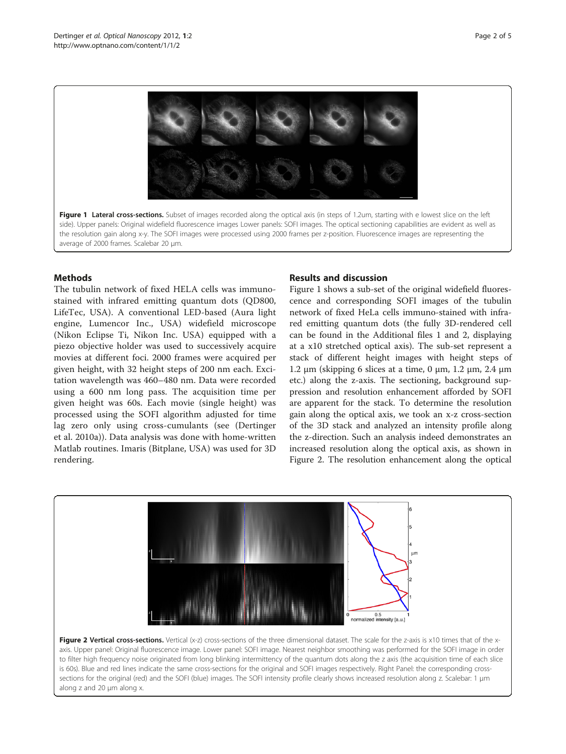<span id="page-1-0"></span>

Figure 1 Lateral cross-sections. Subset of images recorded along the optical axis (in steps of 1.2um, starting with e lowest slice on the left side). Upper panels: Original widefield fluorescence images Lower panels: SOFI images. The optical sectioning capabilities are evident as well as the resolution gain along x-y. The SOFI images were processed using 2000 frames per z-position. Fluorescence images are representing the average of 2000 frames. Scalebar 20 μm.

# **Methods**

The tubulin network of fixed HELA cells was immunostained with infrared emitting quantum dots (QD800, LifeTec, USA). A conventional LED-based (Aura light engine, Lumencor Inc., USA) widefield microscope (Nikon Eclipse Ti, Nikon Inc. USA) equipped with a piezo objective holder was used to successively acquire movies at different foci. 2000 frames were acquired per given height, with 32 height steps of 200 nm each. Excitation wavelength was 460–480 nm. Data were recorded using a 600 nm long pass. The acquisition time per given height was 60s. Each movie (single height) was processed using the SOFI algorithm adjusted for time lag zero only using cross-cumulants (see (Dertinger et al. [2010a\)](#page-3-0)). Data analysis was done with home-written Matlab routines. Imaris (Bitplane, USA) was used for 3D rendering.

# Results and discussion

Figure 1 shows a sub-set of the original widefield fluorescence and corresponding SOFI images of the tubulin network of fixed HeLa cells immuno-stained with infrared emitting quantum dots (the fully 3D-rendered cell can be found in the Additional files [1](#page-3-0) and [2,](#page-3-0) displaying at a x10 stretched optical axis). The sub-set represent a stack of different height images with height steps of 1.2 μm (skipping 6 slices at a time, 0 μm, 1.2 μm, 2.4 μm etc.) along the z-axis. The sectioning, background suppression and resolution enhancement afforded by SOFI are apparent for the stack. To determine the resolution gain along the optical axis, we took an x-z cross-section of the 3D stack and analyzed an intensity profile along the z-direction. Such an analysis indeed demonstrates an increased resolution along the optical axis, as shown in Figure 2. The resolution enhancement along the optical



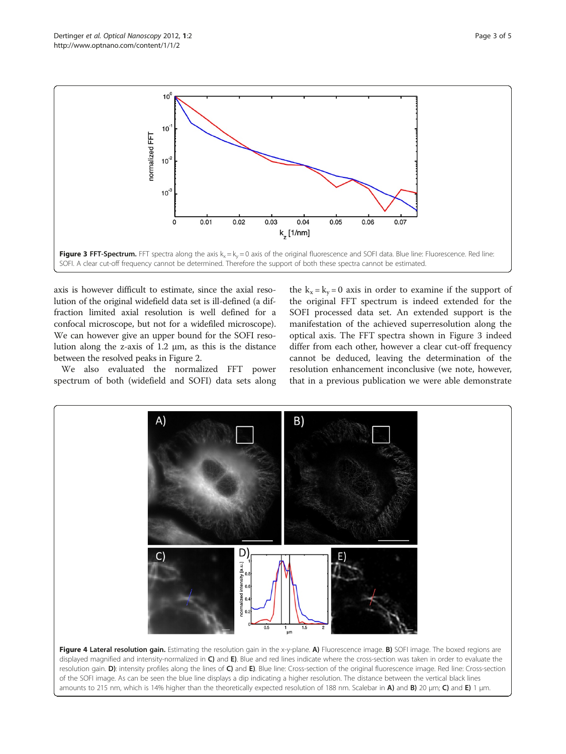<span id="page-2-0"></span>

axis is however difficult to estimate, since the axial resolution of the original widefield data set is ill-defined (a diffraction limited axial resolution is well defined for a confocal microscope, but not for a widefiled microscope). We can however give an upper bound for the SOFI resolution along the z-axis of  $1.2 \mu m$ , as this is the distance between the resolved peaks in Figure [2](#page-1-0).

We also evaluated the normalized FFT power spectrum of both (widefield and SOFI) data sets along the  $k_x = k_y = 0$  axis in order to examine if the support of the original FFT spectrum is indeed extended for the SOFI processed data set. An extended support is the manifestation of the achieved superresolution along the optical axis. The FFT spectra shown in Figure 3 indeed differ from each other, however a clear cut-off frequency cannot be deduced, leaving the determination of the resolution enhancement inconclusive (we note, however, that in a previous publication we were able demonstrate



Figure 4 Lateral resolution gain. Estimating the resolution gain in the x-y-plane. A) Fluorescence image. B) SOFI image. The boxed regions are displayed magnified and intensity-normalized in C) and E). Blue and red lines indicate where the cross-section was taken in order to evaluate the resolution gain. D): intensity profiles along the lines of C) and E). Blue line: Cross-section of the original fluorescence image. Red line: Cross-section of the SOFI image. As can be seen the blue line displays a dip indicating a higher resolution. The distance between the vertical black lines amounts to 215 nm, which is 14% higher than the theoretically expected resolution of 188 nm. Scalebar in A) and B) 20 μm; C) and E) 1 μm.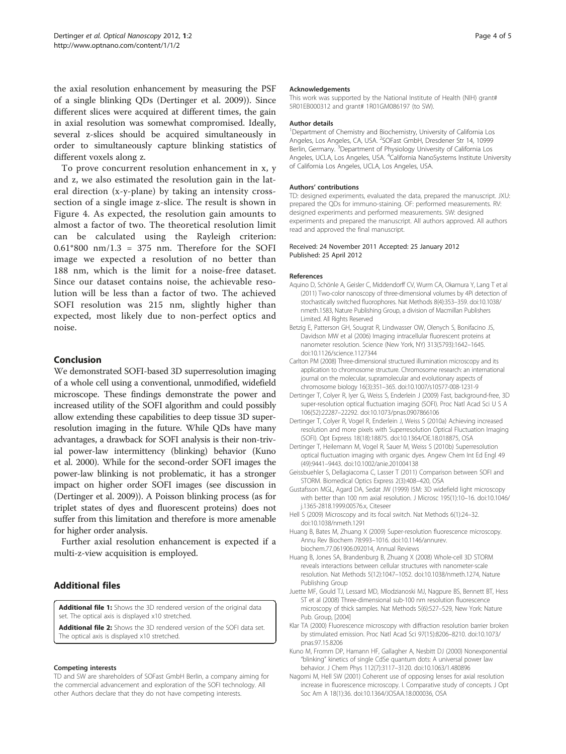<span id="page-3-0"></span>the axial resolution enhancement by measuring the PSF of a single blinking QDs (Dertinger et al. 2009)). Since different slices were acquired at different times, the gain in axial resolution was somewhat compromised. Ideally, several z-slices should be acquired simultaneously in order to simultaneously capture blinking statistics of different voxels along z.

To prove concurrent resolution enhancement in x, y and z, we also estimated the resolution gain in the lateral direction (x-y-plane) by taking an intensity crosssection of a single image z-slice. The result is shown in Figure [4](#page-2-0). As expected, the resolution gain amounts to almost a factor of two. The theoretical resolution limit can be calculated using the Rayleigh criterion:  $0.61*800$  nm/ $1.3$  = 375 nm. Therefore for the SOFI image we expected a resolution of no better than 188 nm, which is the limit for a noise-free dataset. Since our dataset contains noise, the achievable resolution will be less than a factor of two. The achieved SOFI resolution was 215 nm, slightly higher than expected, most likely due to non-perfect optics and noise.

# Conclusion

We demonstrated SOFI-based 3D superresolution imaging of a whole cell using a conventional, unmodified, widefield microscope. These findings demonstrate the power and increased utility of the SOFI algorithm and could possibly allow extending these capabilities to deep tissue 3D superresolution imaging in the future. While QDs have many advantages, a drawback for SOFI analysis is their non-trivial power-law intermittency (blinking) behavior (Kuno et al. 2000). While for the second-order SOFI images the power-law blinking is not problematic, it has a stronger impact on higher order SOFI images (see discussion in (Dertinger et al. 2009)). A Poisson blinking process (as for triplet states of dyes and fluorescent proteins) does not suffer from this limitation and therefore is more amenable for higher order analysis.

Further axial resolution enhancement is expected if a multi-z-view acquisition is employed.

# Additional files

[Additional file 1](http://www.biomedcentral.com/content/supplementary/2192-2853-1-2-S1.avi): Shows the 3D rendered version of the original data set. The optical axis is displayed x10 stretched.

[Additional file 2](http://www.biomedcentral.com/content/supplementary/2192-2853-1-2-S2.avi): Shows the 3D rendered version of the SOFI data set. The optical axis is displayed x10 stretched.

#### Competing interests

TD and SW are shareholders of SOFast GmbH Berlin, a company aiming for the commercial advancement and exploration of the SOFI technology. All other Authors declare that they do not have competing interests.

#### Acknowledgements

This work was supported by the National Institute of Health (NIH) grant# 5R01EB000312 and grant# 1R01GM086197 (to SW).

#### Author details

<sup>1</sup>Department of Chemistry and Biochemistry, University of California Los Angeles, Los Angeles, CA, USA. <sup>2</sup>SOFast GmbH, Dresdener Str 14, 10999 Berlin, Germany. <sup>3</sup>Department of Physiology University of California Los Angeles, UCLA, Los Angeles, USA. <sup>4</sup>California NanoSystems Institute University of California Los Angeles, UCLA, Los Angeles, USA.

#### Authors' contributions

TD: designed experiments, evaluated the data, prepared the manuscript. JXU: prepared the QDs for immuno-staining. OF: performed measurements. RV: designed experiments and performed measurements. SW: designed experiments and prepared the manuscript. All authors approved. All authors read and approved the final manuscript.

### Received: 24 November 2011 Accepted: 25 January 2012 Published: 25 April 2012

#### References

- Aquino D, Schönle A, Geisler C, Middendorff CV, Wurm CA, Okamura Y, Lang T et al (2011) Two-color nanoscopy of three-dimensional volumes by 4Pi detection of stochastically switched fluorophores. Nat Methods 8(4):353–359. doi[:10.1038/](http://dx.doi.org/10.1038/nmeth.1583) [nmeth.1583](http://dx.doi.org/10.1038/nmeth.1583), Nature Publishing Group, a division of Macmillan Publishers Limited. All Rights Reserved
- Betzig E, Patterson GH, Sougrat R, Lindwasser OW, Olenych S, Bonifacino JS, Davidson MW et al (2006) Imaging intracellular fluorescent proteins at nanometer resolution. Science (New York, NY) 313(5793):1642–1645. doi:[10.1126/science.1127344](http://dx.doi.org/10.1126/science.1127344)
- Carlton PM (2008) Three-dimensional structured illumination microscopy and its application to chromosome structure. Chromosome research: an international journal on the molecular, supramolecular and evolutionary aspects of chromosome biology 16(3):351–365. doi:[10.1007/s10577-008-1231-9](http://dx.doi.org/10.1007/s10577-008-1231-9)
- Dertinger T, Colyer R, Iyer G, Weiss S, Enderlein J (2009) Fast, background-free, 3D super-resolution optical fluctuation imaging (SOFI). Proc Natl Acad Sci U S A 106(52):22287–22292. doi:[10.1073/pnas.0907866106](http://dx.doi.org/10.1073/pnas.0907866106)
- Dertinger T, Colyer R, Vogel R, Enderlein J, Weiss S (2010a) Achieving increased resolution and more pixels with Superresolution Optical Fluctuation Imaging (SOFI). Opt Express 18(18):18875. doi[:10.1364/OE.18.018875,](http://dx.doi.org/10.1364/OE.18.018875) OSA
- Dertinger T, Heilemann M, Vogel R, Sauer M, Weiss S (2010b) Superresolution optical fluctuation imaging with organic dyes. Angew Chem Int Ed Engl 49 (49):9441–9443. doi:[10.1002/anie.201004138](http://dx.doi.org/10.1002/anie.201004138)
- Geissbuehler S, Dellagiacoma C, Lasser T (2011) Comparison between SOFI and STORM. Biomedical Optics Express 2(3):408–420, OSA
- Gustafsson MGL, Agard DA, Sedat JW (1999) I5M: 3D widefield light microscopy with better than 100 nm axial resolution. J Microsc 195(1):10–16. doi:[10.1046/](http://dx.doi.org/10.1046/j.1365-2818.1999.00576.x) [j.1365-2818.1999.00576.x,](http://dx.doi.org/10.1046/j.1365-2818.1999.00576.x) Citeseer
- Hell S (2009) Microscopy and its focal switch. Nat Methods 6(1):24–32. doi:[10.1038/nmeth.1291](http://dx.doi.org/10.1038/nmeth.1291)
- Huang B, Bates M, Zhuang X (2009) Super-resolution fluorescence microscopy. Annu Rev Biochem 78:993–1016. doi[:10.1146/annurev.](http://dx.doi.org/10.1146/annurev.biochem.77.061906.092014) [biochem.77.061906.092014,](http://dx.doi.org/10.1146/annurev.biochem.77.061906.092014) Annual Reviews
- Huang B, Jones SA, Brandenburg B, Zhuang X (2008) Whole-cell 3D STORM reveals interactions between cellular structures with nanometer-scale resolution. Nat Methods 5(12):1047–1052. doi:[10.1038/nmeth.1274](http://dx.doi.org/10.1038/nmeth.1274), Nature Publishing Group
- Juette MF, Gould TJ, Lessard MD, Mlodzianoski MJ, Nagpure BS, Bennett BT, Hess ST et al (2008) Three-dimensional sub-100 nm resolution fluorescence microscopy of thick samples. Nat Methods 5(6):527–529, New York: Nature Pub. Group, [2004]
- Klar TA (2000) Fluorescence microscopy with diffraction resolution barrier broken by stimulated emission. Proc Natl Acad Sci 97(15):8206–8210. doi:[10.1073/](http://dx.doi.org/10.1073/pnas.97.15.8206) [pnas.97.15.8206](http://dx.doi.org/10.1073/pnas.97.15.8206)
- Kuno M, Fromm DP, Hamann HF, Gallagher A, Nesbitt DJ (2000) Nonexponential "blinking" kinetics of single CdSe quantum dots: A universal power law behavior. J Chem Phys 112(7):3117–3120. doi[:10.1063/1.480896](http://dx.doi.org/10.1063/1.480896)
- Nagorni M, Hell SW (2001) Coherent use of opposing lenses for axial resolution increase in fluorescence microscopy. I. Comparative study of concepts. J Opt Soc Am A 18(1):36. doi:[10.1364/JOSAA.18.000036,](http://dx.doi.org/10.1364/JOSAA.18.000036) OSA